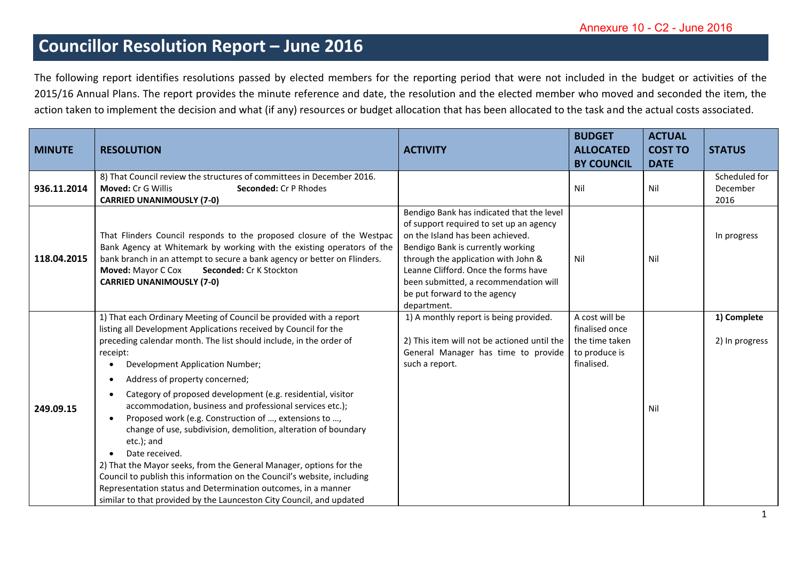## **Councillor Resolution Report – June 2016**

The following report identifies resolutions passed by elected members for the reporting period that were not included in the budget or activities of the 2015/16 Annual Plans. The report provides the minute reference and date, the resolution and the elected member who moved and seconded the item, the action taken to implement the decision and what (if any) resources or budget allocation that has been allocated to the task and the actual costs associated.

| <b>MINUTE</b> | <b>RESOLUTION</b>                                                                                                                                                                                                                                                                                                                                                                                                                                                                                                                                                                                                                                                                                                                                                                                                                                                                          | <b>ACTIVITY</b>                                                                                                                                                                                                                                                                                                                      | <b>BUDGET</b><br><b>ALLOCATED</b><br><b>BY COUNCIL</b>                            | <b>ACTUAL</b><br><b>COST TO</b><br><b>DATE</b> | <b>STATUS</b>                     |
|---------------|--------------------------------------------------------------------------------------------------------------------------------------------------------------------------------------------------------------------------------------------------------------------------------------------------------------------------------------------------------------------------------------------------------------------------------------------------------------------------------------------------------------------------------------------------------------------------------------------------------------------------------------------------------------------------------------------------------------------------------------------------------------------------------------------------------------------------------------------------------------------------------------------|--------------------------------------------------------------------------------------------------------------------------------------------------------------------------------------------------------------------------------------------------------------------------------------------------------------------------------------|-----------------------------------------------------------------------------------|------------------------------------------------|-----------------------------------|
| 936.11.2014   | 8) That Council review the structures of committees in December 2016.<br><b>Moved: Cr G Willis</b><br><b>Seconded: Cr P Rhodes</b><br><b>CARRIED UNANIMOUSLY (7-0)</b>                                                                                                                                                                                                                                                                                                                                                                                                                                                                                                                                                                                                                                                                                                                     |                                                                                                                                                                                                                                                                                                                                      | Nil                                                                               | Nil                                            | Scheduled for<br>December<br>2016 |
| 118.04.2015   | That Flinders Council responds to the proposed closure of the Westpac<br>Bank Agency at Whitemark by working with the existing operators of the<br>bank branch in an attempt to secure a bank agency or better on Flinders.<br>Moved: Mayor C Cox<br>Seconded: Cr K Stockton<br><b>CARRIED UNANIMOUSLY (7-0)</b>                                                                                                                                                                                                                                                                                                                                                                                                                                                                                                                                                                           | Bendigo Bank has indicated that the level<br>of support required to set up an agency<br>on the Island has been achieved.<br>Bendigo Bank is currently working<br>through the application with John &<br>Leanne Clifford. Once the forms have<br>been submitted, a recommendation will<br>be put forward to the agency<br>department. | Nil                                                                               | Nil                                            | In progress                       |
| 249.09.15     | 1) That each Ordinary Meeting of Council be provided with a report<br>listing all Development Applications received by Council for the<br>preceding calendar month. The list should include, in the order of<br>receipt:<br>Development Application Number;<br>Address of property concerned;<br>Category of proposed development (e.g. residential, visitor<br>accommodation, business and professional services etc.);<br>Proposed work (e.g. Construction of , extensions to ,<br>$\bullet$<br>change of use, subdivision, demolition, alteration of boundary<br>etc.); and<br>Date received.<br>2) That the Mayor seeks, from the General Manager, options for the<br>Council to publish this information on the Council's website, including<br>Representation status and Determination outcomes, in a manner<br>similar to that provided by the Launceston City Council, and updated | 1) A monthly report is being provided.<br>2) This item will not be actioned until the<br>General Manager has time to provide<br>such a report.                                                                                                                                                                                       | A cost will be<br>finalised once<br>the time taken<br>to produce is<br>finalised. | Nil                                            | 1) Complete<br>2) In progress     |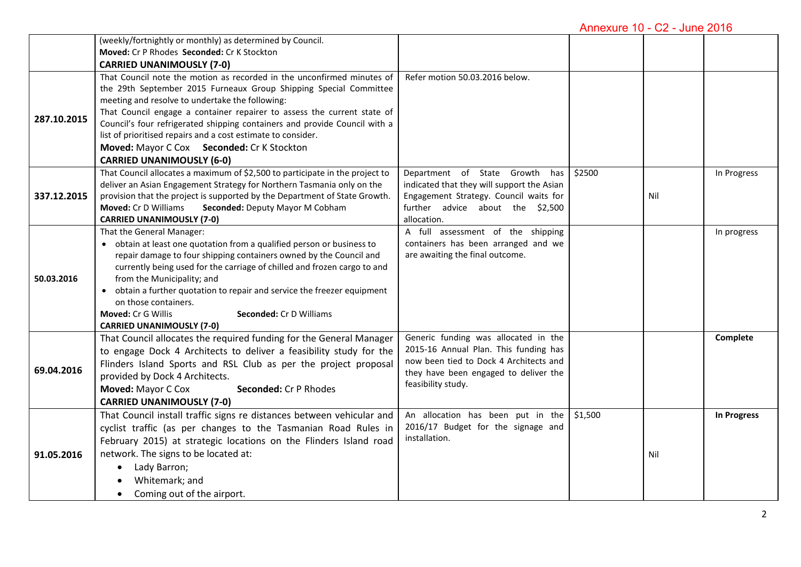Annexure 10 - C2 - June 2016

|             | (weekly/fortnightly or monthly) as determined by Council.                    |                                            |         |     |             |
|-------------|------------------------------------------------------------------------------|--------------------------------------------|---------|-----|-------------|
|             | Moved: Cr P Rhodes Seconded: Cr K Stockton                                   |                                            |         |     |             |
|             | <b>CARRIED UNANIMOUSLY (7-0)</b>                                             |                                            |         |     |             |
|             | That Council note the motion as recorded in the unconfirmed minutes of       | Refer motion 50.03.2016 below.             |         |     |             |
|             | the 29th September 2015 Furneaux Group Shipping Special Committee            |                                            |         |     |             |
|             | meeting and resolve to undertake the following:                              |                                            |         |     |             |
| 287.10.2015 | That Council engage a container repairer to assess the current state of      |                                            |         |     |             |
|             | Council's four refrigerated shipping containers and provide Council with a   |                                            |         |     |             |
|             | list of prioritised repairs and a cost estimate to consider.                 |                                            |         |     |             |
|             | Moved: Mayor C Cox Seconded: Cr K Stockton                                   |                                            |         |     |             |
|             | <b>CARRIED UNANIMOUSLY (6-0)</b>                                             |                                            |         |     |             |
|             | That Council allocates a maximum of \$2,500 to participate in the project to | Department of State Growth<br>has          | \$2500  |     | In Progress |
|             | deliver an Asian Engagement Strategy for Northern Tasmania only on the       | indicated that they will support the Asian |         |     |             |
| 337.12.2015 | provision that the project is supported by the Department of State Growth.   | Engagement Strategy. Council waits for     |         | Nil |             |
|             | Moved: Cr D Williams<br>Seconded: Deputy Mayor M Cobham                      | further advice about the \$2,500           |         |     |             |
|             | <b>CARRIED UNANIMOUSLY (7-0)</b>                                             | allocation.                                |         |     |             |
|             | That the General Manager:                                                    | A full assessment of the shipping          |         |     | In progress |
|             | • obtain at least one quotation from a qualified person or business to       | containers has been arranged and we        |         |     |             |
|             | repair damage to four shipping containers owned by the Council and           | are awaiting the final outcome.            |         |     |             |
|             | currently being used for the carriage of chilled and frozen cargo to and     |                                            |         |     |             |
| 50.03.2016  | from the Municipality; and                                                   |                                            |         |     |             |
|             | • obtain a further quotation to repair and service the freezer equipment     |                                            |         |     |             |
|             | on those containers.                                                         |                                            |         |     |             |
|             | Moved: Cr G Willis<br>Seconded: Cr D Williams                                |                                            |         |     |             |
|             | <b>CARRIED UNANIMOUSLY (7-0)</b>                                             |                                            |         |     |             |
|             | That Council allocates the required funding for the General Manager          | Generic funding was allocated in the       |         |     | Complete    |
|             | to engage Dock 4 Architects to deliver a feasibility study for the           | 2015-16 Annual Plan. This funding has      |         |     |             |
| 69.04.2016  | Flinders Island Sports and RSL Club as per the project proposal              | now been tied to Dock 4 Architects and     |         |     |             |
|             | provided by Dock 4 Architects.                                               | they have been engaged to deliver the      |         |     |             |
|             | Moved: Mayor C Cox<br>Seconded: Cr P Rhodes                                  | feasibility study.                         |         |     |             |
|             | <b>CARRIED UNANIMOUSLY (7-0)</b>                                             |                                            |         |     |             |
|             | That Council install traffic signs re distances between vehicular and        | An allocation has been put in the          | \$1,500 |     | In Progress |
|             | cyclist traffic (as per changes to the Tasmanian Road Rules in               | 2016/17 Budget for the signage and         |         |     |             |
| 91.05.2016  | February 2015) at strategic locations on the Flinders Island road            | installation.                              |         |     |             |
|             | network. The signs to be located at:                                         |                                            |         | Nil |             |
|             | Lady Barron;<br>$\bullet$                                                    |                                            |         |     |             |
|             |                                                                              |                                            |         |     |             |
|             | Whitemark; and                                                               |                                            |         |     |             |
|             | Coming out of the airport.<br>$\bullet$                                      |                                            |         |     |             |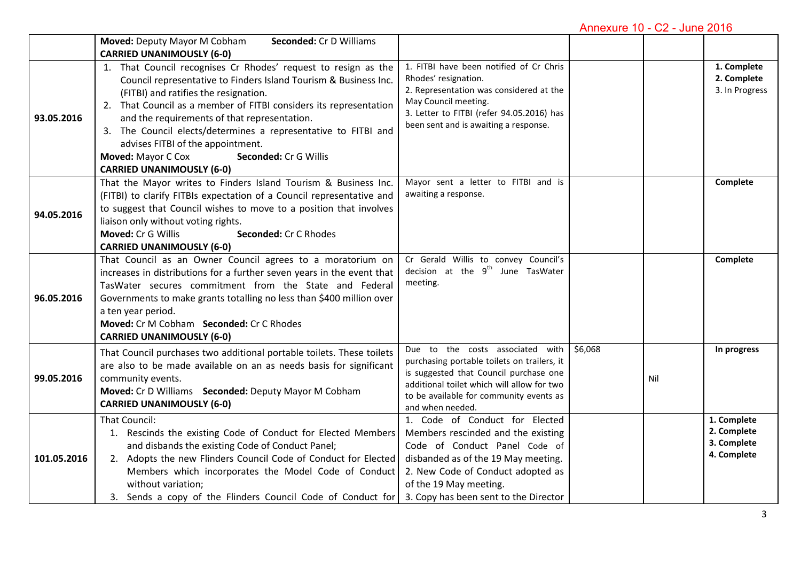Annexure 10 - C2 - June 2016

|             | <b>Moved: Deputy Mayor M Cobham</b><br>Seconded: Cr D Williams                                                                                                                                                                                                                                                                                                                                                                                                                             |                                                                                                                                                                                                                                                      |         |     |                                                          |
|-------------|--------------------------------------------------------------------------------------------------------------------------------------------------------------------------------------------------------------------------------------------------------------------------------------------------------------------------------------------------------------------------------------------------------------------------------------------------------------------------------------------|------------------------------------------------------------------------------------------------------------------------------------------------------------------------------------------------------------------------------------------------------|---------|-----|----------------------------------------------------------|
|             | <b>CARRIED UNANIMOUSLY (6-0)</b>                                                                                                                                                                                                                                                                                                                                                                                                                                                           |                                                                                                                                                                                                                                                      |         |     |                                                          |
| 93.05.2016  | 1. That Council recognises Cr Rhodes' request to resign as the<br>Council representative to Finders Island Tourism & Business Inc.<br>(FITBI) and ratifies the resignation.<br>2. That Council as a member of FITBI considers its representation<br>and the requirements of that representation.<br>3. The Council elects/determines a representative to FITBI and<br>advises FITBI of the appointment.<br>Moved: Mayor C Cox<br>Seconded: Cr G Willis<br><b>CARRIED UNANIMOUSLY (6-0)</b> | 1. FITBI have been notified of Cr Chris<br>Rhodes' resignation.<br>2. Representation was considered at the<br>May Council meeting.<br>3. Letter to FITBI (refer 94.05.2016) has<br>been sent and is awaiting a response.                             |         |     | 1. Complete<br>2. Complete<br>3. In Progress             |
| 94.05.2016  | That the Mayor writes to Finders Island Tourism & Business Inc.<br>(FITBI) to clarify FITBIs expectation of a Council representative and<br>to suggest that Council wishes to move to a position that involves<br>liaison only without voting rights.<br>Moved: Cr G Willis<br>Seconded: Cr C Rhodes<br><b>CARRIED UNANIMOUSLY (6-0)</b>                                                                                                                                                   | Mayor sent a letter to FITBI and is<br>awaiting a response.                                                                                                                                                                                          |         |     | Complete                                                 |
| 96.05.2016  | That Council as an Owner Council agrees to a moratorium on<br>increases in distributions for a further seven years in the event that<br>TasWater secures commitment from the State and Federal<br>Governments to make grants totalling no less than \$400 million over<br>a ten year period.<br>Moved: Cr M Cobham Seconded: Cr C Rhodes<br><b>CARRIED UNANIMOUSLY (6-0)</b>                                                                                                               | Cr Gerald Willis to convey Council's<br>decision at the 9 <sup>th</sup> June TasWater<br>meeting.                                                                                                                                                    |         |     | Complete                                                 |
| 99.05.2016  | That Council purchases two additional portable toilets. These toilets<br>are also to be made available on an as needs basis for significant<br>community events.<br>Moved: Cr D Williams Seconded: Deputy Mayor M Cobham<br><b>CARRIED UNANIMOUSLY (6-0)</b>                                                                                                                                                                                                                               | Due to the costs associated with<br>purchasing portable toilets on trailers, it<br>is suggested that Council purchase one<br>additional toilet which will allow for two<br>to be available for community events as<br>and when needed.               | \$6,068 | Nil | In progress                                              |
| 101.05.2016 | That Council:<br>1. Rescinds the existing Code of Conduct for Elected Members<br>and disbands the existing Code of Conduct Panel;<br>2. Adopts the new Flinders Council Code of Conduct for Elected<br>Members which incorporates the Model Code of Conduct<br>without variation;<br>3. Sends a copy of the Flinders Council Code of Conduct for                                                                                                                                           | 1. Code of Conduct for Elected<br>Members rescinded and the existing<br>Code of Conduct Panel Code of<br>disbanded as of the 19 May meeting.<br>2. New Code of Conduct adopted as<br>of the 19 May meeting.<br>3. Copy has been sent to the Director |         |     | 1. Complete<br>2. Complete<br>3. Complete<br>4. Complete |